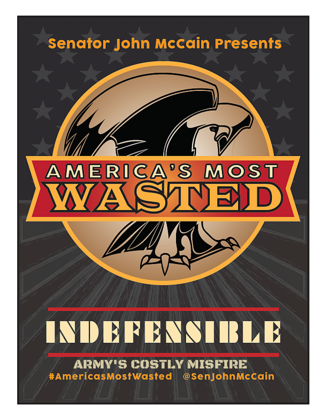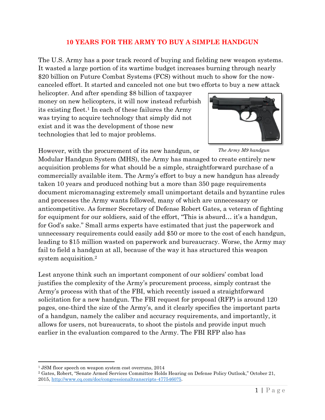## **10 YEARS FOR THE ARMY TO BUY A SIMPLE HANDGUN**

The U.S. Army has a poor track record of buying and fielding new weapon systems. It wasted a large portion of its wartime budget increases burning through nearly \$20 billion on Future Combat Systems (FCS) without much to show for the nowcanceled effort. It started and canceled not one but two efforts to buy a new attack

helicopter. And after spending \$8 billion of taxpayer money on new helicopters, it will now instead refurbish its existing fleet. <sup>1</sup> In each of these failures the Army was trying to acquire technology that simply did not exist and it was the development of those new technologies that led to major problems.





*The Army M9 handgun*

Modular Handgun System (MHS), the Army has managed to create entirely new acquisition problems for what should be a simple, straightforward purchase of a commercially available item. The Army's effort to buy a new handgun has already taken 10 years and produced nothing but a more than 350 page requirements document micromanaging extremely small unimportant details and byzantine rules and processes the Army wants followed, many of which are unnecessary or anticompetitive. As former Secretary of Defense Robert Gates, a veteran of fighting for equipment for our soldiers, said of the effort, "This is absurd… it's a handgun, for God's sake." Small arms experts have estimated that just the paperwork and unnecessary requirements could easily add \$50 or more to the cost of each handgun, leading to \$15 million wasted on paperwork and bureaucracy. Worse, the Army may fail to field a handgun at all, because of the way it has structured this weapon system acquisition. 2

Lest anyone think such an important component of our soldiers' combat load justifies the complexity of the Army's procurement process, simply contrast the Army's process with that of the FBI, which recently issued a straightforward solicitation for a new handgun. The FBI request for proposal (RFP) is around 120 pages, one-third the size of the Army's, and it clearly specifies the important parts of a handgun, namely the caliber and accuracy requirements, and importantly, it allows for users, not bureaucrats, to shoot the pistols and provide input much earlier in the evaluation compared to the Army. The FBI RFP also has

 $\overline{\phantom{a}}$ 

<sup>1</sup> JSM floor speech on weapon system cost overruns, 2014

<sup>2</sup> Gates, Robert, "Senate Armed Services Committee Holds Hearing on Defense Policy Outlook," October 21, 2015, [http://www.cq.com/doc/congressionaltranscripts-4775460?5.](http://www.cq.com/doc/congressionaltranscripts-4775460?5)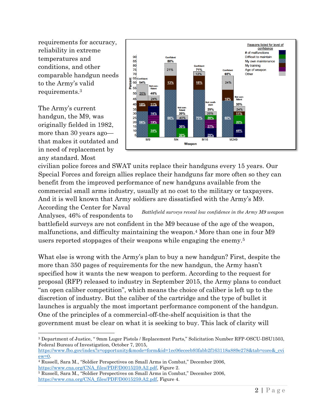requirements for accuracy, reliability in extreme temperatures and conditions, and other comparable handgun needs to the Army's valid requirements.<sup>3</sup>

The Army's current handgun, the M9, was originally fielded in 1982, more than 30 years ago that makes it outdated and in need of replacement by any standard. Most

 $\overline{\phantom{a}}$ 



civilian police forces and SWAT units replace their handguns every 15 years. Our Special Forces and foreign allies replace their handguns far more often so they can benefit from the improved performance of new handguns available from the commercial small arms industry, usually at no cost to the military or taxpayers. And it is well known that Army soldiers are dissatisfied with the Army's M9.

According the Center for Naval Analyses, 46% of respondents to battlefield surveys are not confident in the M9 because of the age of the weapon, malfunctions, and difficulty maintaining the weapon. <sup>4</sup> More than one in four M9 *Battlefield surveys reveal low confidence in the Army M9 weapon*

users reported stoppages of their weapons while engaging the enemy.<sup>5</sup>

What else is wrong with the Army's plan to buy a new handgun? First, despite the more than 350 pages of requirements for the new handgun, the Army hasn't specified how it wants the new weapon to perform. According to the request for proposal (RFP) released to industry in September 2015, the Army plans to conduct "an open caliber competition", which means the choice of caliber is left up to the discretion of industry. But the caliber of the cartridge and the type of bullet it launches is arguably the most important performance component of the handgun. One of the principles of a commercial-off-the-shelf acquisition is that the government must be clear on what it is seeking to buy. This lack of clarity will

<sup>3</sup> Department of Justice, " 9mm Luger Pistols / Replacement Parts," Solicitation Number RFP-OSCU-DSU1503, Federal Bureau of Investigation, October 7, 2015,

[https://www.fbo.gov/index?s=opportunity&mode=form&id=1ec06eceeb93fabb2f163118a889e278&tab=core&\\_cvi](https://www.fbo.gov/index?s=opportunity&mode=form&id=1ec06eceeb93fabb2f163118a889e278&tab=core&_cview=0)  $ew=0$ .

<sup>4</sup> Russell, Sara M., "Soldier Perspectives on Small Arms in Combat," December 2006, [https://www.cna.org/CNA\\_files/PDF/D0015259.A2.pdf,](https://www.cna.org/CNA_files/PDF/D0015259.A2.pdf) Figure 2.

<sup>5</sup> Russell, Sara M., "Soldier Perspectives on Small Arms in Combat," December 2006, [https://www.cna.org/CNA\\_files/PDF/D0015259.A2.pdf,](https://www.cna.org/CNA_files/PDF/D0015259.A2.pdf) Figure 4.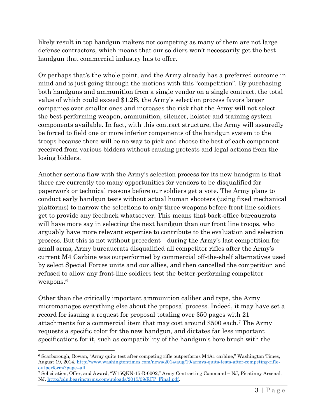likely result in top handgun makers not competing as many of them are not large defense contractors, which means that our soldiers won't necessarily get the best handgun that commercial industry has to offer.

Or perhaps that's the whole point, and the Army already has a preferred outcome in mind and is just going through the motions with this "competition". By purchasing both handguns and ammunition from a single vendor on a single contract, the total value of which could exceed \$1.2B, the Army's selection process favors larger companies over smaller ones and increases the risk that the Army will not select the best performing weapon, ammunition, silencer, holster and training system components available. In fact, with this contract structure, the Army will assuredly be forced to field one or more inferior components of the handgun system to the troops because there will be no way to pick and choose the best of each component received from various bidders without causing protests and legal actions from the losing bidders.

Another serious flaw with the Army's selection process for its new handgun is that there are currently too many opportunities for vendors to be disqualified for paperwork or technical reasons before our soldiers get a vote. The Army plans to conduct early handgun tests without actual human shooters (using fixed mechanical platforms) to narrow the selections to only three weapons before front line soldiers get to provide any feedback whatsoever. This means that back-office bureaucrats will have more say in selecting the next handgun than our front line troops, who arguably have more relevant expertise to contribute to the evaluation and selection process. But this is not without precedent—during the Army's last competition for small arms, Army bureaucrats disqualified all competitor rifles after the Army's current M4 Carbine was outperformed by commercial off-the-shelf alternatives used by select Special Forces units and our allies, and then cancelled the competition and refused to allow any front-line soldiers test the better-performing competitor weapons. 6

Other than the critically important ammunition caliber and type, the Army micromanages everything else about the proposal process. Indeed, it may have set a record for issuing a request for proposal totaling over 350 pages with 21 attachments for a commercial item that may cost around \$500 each. <sup>7</sup> The Army requests a specific color for the new handgun, and dictates far less important specifications for it, such as compatibility of the handgun's bore brush with the

 $\overline{\phantom{a}}$ 

<sup>6</sup> Scarborough, Rowan, "Army quits test after competing rifle outperforms M4A1 carbine," Washington Times, August 19, 2014[, http://www.washingtontimes.com/news/2014/aug/19/armys-quits-tests-after-competing-rifle](http://www.washingtontimes.com/news/2014/aug/19/armys-quits-tests-after-competing-rifle-outperform/?page=all)[outperform/?page=all.](http://www.washingtontimes.com/news/2014/aug/19/armys-quits-tests-after-competing-rifle-outperform/?page=all)

<sup>7</sup> Solicitation, Offer, and Award, "W15QKN-15-R-0002," Army Contracting Command – NJ, Picatinny Arsenal, NJ, [http://cdn.bearingarms.com/uploads/2015/09/RFP\\_Final.pdf.](http://cdn.bearingarms.com/uploads/2015/09/RFP_Final.pdf)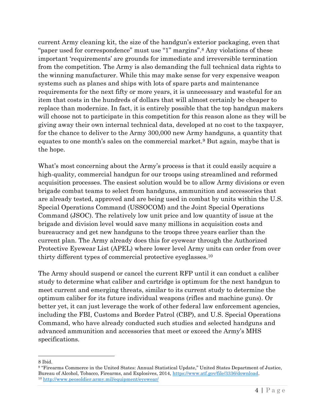current Army cleaning kit, the size of the handgun's exterior packaging, even that "paper used for correspondence" must use "1" margins".<sup>8</sup> Any violations of these important 'requirements' are grounds for immediate and irreversible termination from the competition. The Army is also demanding the full technical data rights to the winning manufacturer. While this may make sense for very expensive weapon systems such as planes and ships with lots of spare parts and maintenance requirements for the next fifty or more years, it is unnecessary and wasteful for an item that costs in the hundreds of dollars that will almost certainly be cheaper to replace than modernize. In fact, it is entirely possible that the top handgun makers will choose not to participate in this competition for this reason alone as they will be giving away their own internal technical data, developed at no cost to the taxpayer, for the chance to deliver to the Army 300,000 new Army handguns, a quantity that equates to one month's sales on the commercial market.<sup>9</sup> But again, maybe that is the hope.

What's most concerning about the Army's process is that it could easily acquire a high-quality, commercial handgun for our troops using streamlined and reformed acquisition processes. The easiest solution would be to allow Army divisions or even brigade combat teams to select from handguns, ammunition and accessories that are already tested, approved and are being used in combat by units within the U.S. Special Operations Command (USSOCOM) and the Joint Special Operations Command (JSOC). The relatively low unit price and low quantity of issue at the brigade and division level would save many millions in acquisition costs and bureaucracy and get new handguns to the troops three years earlier than the current plan. The Army already does this for eyewear through the Authorized Protective Eyewear List (APEL) where lower level Army units can order from over thirty different types of commercial protective eyeglasses.<sup>10</sup>

The Army should suspend or cancel the current RFP until it can conduct a caliber study to determine what caliber and cartridge is optimum for the next handgun to meet current and emerging threats, similar to its current study to determine the optimum caliber for its future individual weapons (rifles and machine guns). Or better yet, it can just leverage the work of other federal law enforcement agencies, including the FBI, Customs and Border Patrol (CBP), and U.S. Special Operations Command, who have already conducted such studies and selected handguns and advanced ammunition and accessories that meet or exceed the Army's MHS specifications.

 $\overline{\phantom{a}}$ 8 Ibid.

<sup>9</sup> "Firearms Commerce in the United States: Annual Statistical Update," United States Department of Justice, Bureau of Alcohol, Tobacco, Firearms, and Explosives, 2014, [https://www.atf.gov/file/3336/download.](https://www.atf.gov/file/3336/download) <sup>10</sup> <http://www.peosoldier.army.mil/equipment/eyewear/>